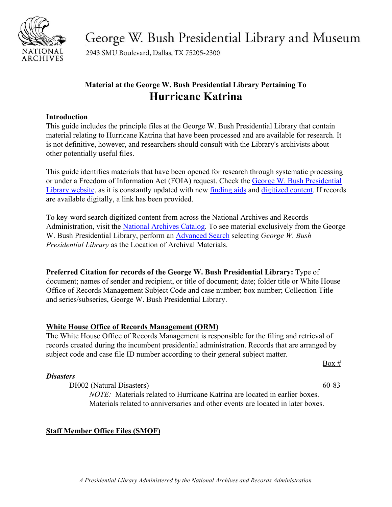

George W. Bush Presidential Library and Museum

2943 SMU Boulevard, Dallas, TX 75205-2300

# **Material at the George W. Bush Presidential Library Pertaining To Hurricane Katrina**

### **Introduction**

This guide includes the principle files at the George W. Bush Presidential Library that contain material relating to Hurricane Katrina that have been processed and are available for research. It is not definitive, however, and researchers should consult with the Library's archivists about other potentially useful files.

This guide identifies materials that have been opened for research through systematic processing or under a Freedom of Information Act (FOIA) request. Check the [George W. Bush Presidential](https://www.georgewbushlibrary.gov/) [Library website,](https://www.georgewbushlibrary.gov/) as it is constantly updated with new [finding aids](https://www.georgewbushlibrary.gov/research/finding-aids) and [digitized content.](https://www.georgewbushlibrary.gov/research/records-search) If records are available digitally, a link has been provided.

To key-word search digitized content from across the National Archives and Records Administration, visit the [National Archives Catalog.](https://catalog.archives.gov/) To see material exclusively from the George W. Bush Presidential Library, perform an [Advanced Search](https://catalog.archives.gov/advancedsearch) selecting *George W. Bush Presidential Library* as the Location of Archival Materials.

**Preferred Citation for records of the George W. Bush Presidential Library:** Type of document; names of sender and recipient, or title of document; date; folder title or White House Office of Records Management Subject Code and case number; box number; Collection Title and series/subseries, George W. Bush Presidential Library.

# **White House Office of Records Management (ORM)**

The White House Office of Records Management is responsible for the filing and retrieval of records created during the incumbent presidential administration. Records that are arranged by subject code and case file ID number according to their general subject matter.

 $Box #$ 

# *Disasters*

DI002 (Natural Disasters) 60-83

*NOTE:* Materials related to Hurricane Katrina are located in earlier boxes. Materials related to anniversaries and other events are located in later boxes.

# **Staff Member Office Files (SMOF)**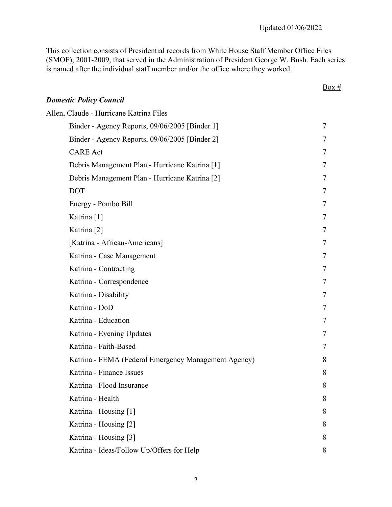This collection consists of Presidential records from White House Staff Member Office Files (SMOF), 2001-2009, that served in the Administration of President George W. Bush. Each series is named after the individual staff member and/or the office where they worked.

|                                                      | Box #          |
|------------------------------------------------------|----------------|
| <b>Domestic Policy Council</b>                       |                |
| Allen, Claude - Hurricane Katrina Files              |                |
| Binder - Agency Reports, 09/06/2005 [Binder 1]       | 7              |
| Binder - Agency Reports, 09/06/2005 [Binder 2]       | 7              |
| <b>CARE</b> Act                                      | 7              |
| Debris Management Plan - Hurricane Katrina [1]       | 7              |
| Debris Management Plan - Hurricane Katrina [2]       | 7              |
| <b>DOT</b>                                           | 7              |
| Energy - Pombo Bill                                  | 7              |
| Katrina <sup>[1]</sup>                               | $\overline{7}$ |
| Katrina <sup>[2]</sup>                               | 7              |
| [Katrina - African-Americans]                        | 7              |
| Katrina - Case Management                            | 7              |
| Katrina - Contracting                                | 7              |
| Katrina - Correspondence                             | 7              |
| Katrina - Disability                                 | 7              |
| Katrina - DoD                                        | 7              |
| Katrina - Education                                  | $\overline{7}$ |
| Katrina - Evening Updates                            | 7              |
| Katrina - Faith-Based                                | 7              |
| Katrina - FEMA (Federal Emergency Management Agency) | 8              |
| Katrina - Finance Issues                             | 8              |
| Katrina - Flood Insurance                            | 8              |
| Katrina - Health                                     | 8              |
| Katrina - Housing [1]                                | 8              |
| Katrina - Housing [2]                                | 8              |
| Katrina - Housing [3]                                | 8              |
| Katrina - Ideas/Follow Up/Offers for Help            | 8              |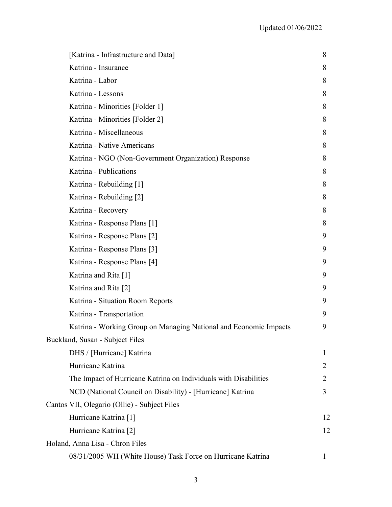| [Katrina - Infrastructure and Data]                               | 8            |
|-------------------------------------------------------------------|--------------|
| Katrina - Insurance                                               | 8            |
| Katrina - Labor                                                   | 8            |
| Katrina - Lessons                                                 | 8            |
| Katrina - Minorities [Folder 1]                                   | 8            |
| Katrina - Minorities [Folder 2]                                   | 8            |
| Katrina - Miscellaneous                                           | 8            |
| Katrina - Native Americans                                        | 8            |
| Katrina - NGO (Non-Government Organization) Response              | 8            |
| Katrina - Publications                                            | 8            |
| Katrina - Rebuilding [1]                                          | 8            |
| Katrina - Rebuilding [2]                                          | 8            |
| Katrina - Recovery                                                | 8            |
| Katrina - Response Plans [1]                                      | 8            |
| Katrina - Response Plans [2]                                      | 9            |
| Katrina - Response Plans [3]                                      | 9            |
| Katrina - Response Plans [4]                                      | 9            |
| Katrina and Rita [1]                                              | 9            |
| Katrina and Rita [2]                                              | 9            |
| Katrina - Situation Room Reports                                  | 9            |
| Katrina - Transportation                                          | 9            |
| Katrina - Working Group on Managing National and Economic Impacts | 9            |
| Buckland, Susan - Subject Files                                   |              |
| DHS / [Hurricane] Katrina                                         | 1            |
| Hurricane Katrina                                                 | 2            |
| The Impact of Hurricane Katrina on Individuals with Disabilities  | 2            |
| NCD (National Council on Disability) - [Hurricane] Katrina        | 3            |
| Cantos VII, Olegario (Ollie) - Subject Files                      |              |
| Hurricane Katrina [1]                                             | 12           |
| Hurricane Katrina [2]                                             | 12           |
| Holand, Anna Lisa - Chron Files                                   |              |
| 08/31/2005 WH (White House) Task Force on Hurricane Katrina       | $\mathbf{I}$ |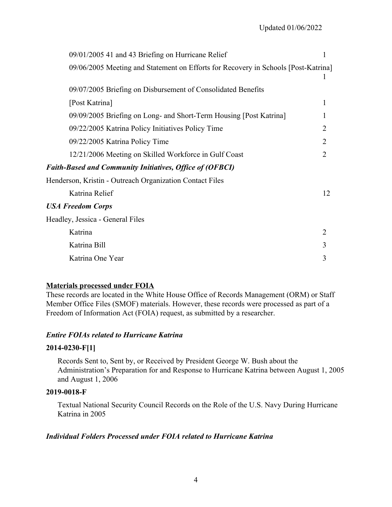| 09/01/2005 41 and 43 Briefing on Hurricane Relief                                  | 1              |
|------------------------------------------------------------------------------------|----------------|
| 09/06/2005 Meeting and Statement on Efforts for Recovery in Schools [Post-Katrina] |                |
| 09/07/2005 Briefing on Disbursement of Consolidated Benefits                       |                |
| [Post Katrina]                                                                     | 1              |
| 09/09/2005 Briefing on Long- and Short-Term Housing [Post Katrina]                 |                |
| 09/22/2005 Katrina Policy Initiatives Policy Time                                  | $\overline{2}$ |
| 09/22/2005 Katrina Policy Time                                                     | $\overline{2}$ |
| 12/21/2006 Meeting on Skilled Workforce in Gulf Coast                              | $\overline{2}$ |
| <b>Faith-Based and Community Initiatives, Office of (OFBCI)</b>                    |                |
| Henderson, Kristin - Outreach Organization Contact Files                           |                |
| Katrina Relief                                                                     | 12             |
| <b>USA Freedom Corps</b>                                                           |                |
| Headley, Jessica - General Files                                                   |                |
| Katrina                                                                            | $\overline{2}$ |
| Katrina Bill                                                                       | 3              |
| Katrina One Year                                                                   | 3              |

# **Materials processed under FOIA**

These records are located in the White House Office of Records Management (ORM) or Staff Member Office Files (SMOF) materials. However, these records were processed as part of a Freedom of Information Act (FOIA) request, as submitted by a researcher.

# *Entire FOIAs related to Hurricane Katrina*

# **2014-0230-F[1]**

Records Sent to, Sent by, or Received by President George W. Bush about the Administration's Preparation for and Response to Hurricane Katrina between August 1, 2005 and August 1, 2006

#### **2019-0018-F**

Textual National Security Council Records on the Role of the U.S. Navy During Hurricane Katrina in 2005

# *Individual Folders Processed under FOIA related to Hurricane Katrina*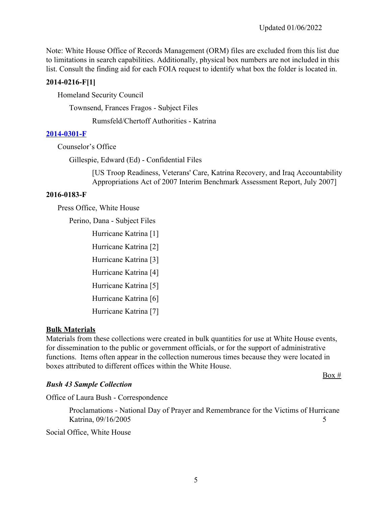Note: White House Office of Records Management (ORM) files are excluded from this list due to limitations in search capabilities. Additionally, physical box numbers are not included in this list. Consult the finding aid for each FOIA request to identify what box the folder is located in.

# **2014-0216-F[1]**

Homeland Security Council

Townsend, Frances Fragos - Subject Files

Rumsfeld/Chertoff Authorities - Katrina

# **[2014-0301-F](https://www.georgewbushlibrary.gov/research/finding-aids/foia-requests/2014-0301-f-records-edward-ed-gillespie)**

Counselor's Office

Gillespie, Edward (Ed) - Confidential Files

[US Troop Readiness, Veterans' Care, Katrina Recovery, and Iraq Accountability Appropriations Act of 2007 Interim Benchmark Assessment Report, July 2007]

# **2016-0183-F**

Press Office, White House

Perino, Dana - Subject Files

Hurricane Katrina [1] Hurricane Katrina [2] Hurricane Katrina [3] Hurricane Katrina [4] Hurricane Katrina [5] Hurricane Katrina [6] Hurricane Katrina [7]

# **Bulk Materials**

 functions. Items often appear in the collection numerous times because they were located in Materials from these collections were created in bulk quantities for use at White House events, for dissemination to the public or government officials, or for the support of administrative boxes attributed to different offices within the White House.

 $Box #$ 

Office of Laura Bush - Correspondence

Proclamations - National Day of Prayer and Remembrance for the Victims of Hurricane Katrina, 09/16/2005 5

Social Office, White House

*Bush 43 Sample Collection*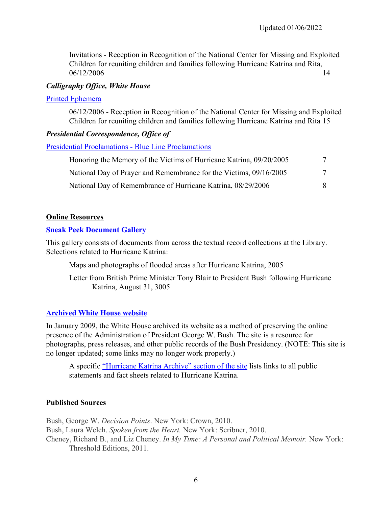Invitations - Reception in Recognition of the National Center for Missing and Exploited Children for reuniting children and families following Hurricane Katrina and Rita, 06/12/2006 14

### *Calligraphy Office, White House*

#### [Printed Ephemera](https://www.georgewbushlibrary.gov/research/finding-aids/white-house-staff-member-office-files/calligraphy-office-white-house-printed-ephemera)

06/12/2006 - Reception in Recognition of the National Center for Missing and Exploited Children for reuniting children and families following Hurricane Katrina and Rita 15

### *Presidential Correspondence, Office of*

[Presidential Proclamations - Blue Line Proclamations](https://www.georgewbushlibrary.gov/research/finding-aids/white-house-staff-member-office-files/blue-line-proclamations)

| Honoring the Memory of the Victims of Hurricane Katrina, 09/20/2005 | 7 |
|---------------------------------------------------------------------|---|
| National Day of Prayer and Remembrance for the Victims, 09/16/2005  | 7 |
| National Day of Remembrance of Hurricane Katrina, 08/29/2006        |   |

### **Online Resources**

#### **[Sneak Peek Document Gallery](https://www.georgewbushlibrary.smu.edu/Photos-and-Videos/Photo-Galleries/Sneak-Peek-Document-Gallery)**

This gallery consists of documents from across the textual record collections at the Library. Selections related to Hurricane Katrina:

Maps and photographs of flooded areas after Hurricane Katrina, 2005

Letter from British Prime Minister Tony Blair to President Bush following Hurricane Katrina, August 31, 3005

# **[Archived White House website](https://georgewbush-whitehouse.archives.gov/)**

In January 2009, the White House archived its website as a method of preserving the online presence of the Administration of President George W. Bush. The site is a resource for photographs, press releases, and other public records of the Bush Presidency. (NOTE: This site is no longer updated; some links may no longer work properly.)

A specific ["Hurricane Katrina Archive" section of the site](http://georgewbush-whitehouse.archives.gov/infocus/katrina/text/archive.html) lists links to all public statements and fact sheets related to Hurricane Katrina.

# **Published Sources**

Bush, George W. *Decision Points*. New York: Crown, 2010. Bush, Laura Welch. *Spoken from the Heart.* New York: Scribner, 2010. Cheney, Richard B., and Liz Cheney. *In My Time: A Personal and Political Memoir.* New York: Threshold Editions, 2011.